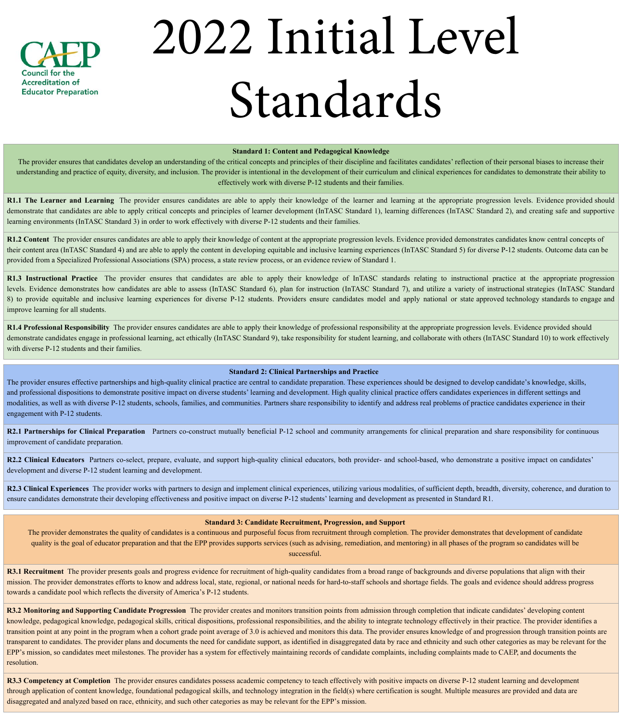#### **Standard 1: Content and Pedagogical Knowledge**

The provider ensures that candidates develop an understanding of the critical concepts and principles of their discipline and facilitates candidates' reflection of their personal biases to increase their understanding and practice of equity, diversity, and inclusion. The provider is intentional in the development of their curriculum and clinical experiences for candidates to demonstrate their ability to effectively work with diverse P-12 students and their families.

R1.1 The Learner and Learning The provider ensures candidates are able to apply their knowledge of the learner and learning at the appropriate progression levels. Evidence provided should demonstrate that candidates are able to apply critical concepts and principles of learner development (InTASC Standard 1), learning differences (InTASC Standard 2), and creating safe and supportive learning environments (InTASC Standard 3) in order to work effectively with diverse P-12 students and their families.

R1.2 Content The provider ensures candidates are able to apply their knowledge of content at the appropriate progression levels. Evidence provided demonstrates candidates know central concepts of their content area (InTASC Standard 4) and are able to apply the content in developing equitable and inclusive learning experiences (InTASC Standard 5) for diverse P-12 students. Outcome data can be provided from a Specialized Professional Associations (SPA) process, a state review process, or an evidence review of Standard 1.

**R1.3 Instructional Practice** The provider ensures that candidates are able to apply their knowledge of InTASC standards relating to instructional practice at the appropriate progression levels. Evidence demonstrates how candidates are able to assess (InTASC Standard 6), plan for instruction (InTASC Standard 7), and utilize a variety of instructional strategies (InTASC Standard 8) to provide equitable and inclusive learning experiences for diverse P-12 students. Providers ensure candidates model and apply national or state approved technology standards to engage and improve learning for all students.

**R1.4 Professional Responsibility** The provider ensures candidates are able to apply their knowledge of professional responsibility at the appropriate progression levels. Evidence provided should demonstrate candidates engage in professional learning, act ethically (InTASC Standard 9), take responsibility for student learning, and collaborate with others (InTASC Standard 10) to work effectively with diverse P-12 students and their families.

R2.2 Clinical Educators Partners co-select, prepare, evaluate, and support high-quality clinical educators, both provider- and school-based, who demonstrate a positive impact on candidates' development and diverse P-12 student learning and development.

R2.3 Clinical Experiences The provider works with partners to design and implement clinical experiences, utilizing various modalities, of sufficient depth, breadth, diversity, coherence, and duration to ensure candidates demonstrate their developing effectiveness and positive impact on diverse P-12 students' learning and development as presented in Standard R1.

**R3.1 Recruitment** The provider presents goals and progress evidence for recruitment of high-quality candidates from a broad range of backgrounds and diverse populations that align with their mission. The provider demonstrates efforts to know and address local, state, regional, or national needs for hard-to-staff schools and shortage fields. The goals and evidence should address progress towards a candidate pool which reflects the diversity of America's P-12 students.

# **Standard 2: Clinical Partnerships and Practice**

The provider ensures effective partnerships and high-quality clinical practice are central to candidate preparation. These experiences should be designed to develop candidate's knowledge, skills, and professional dispositions to demonstrate positive impact on diverse students' learning and development. High quality clinical practice offers candidates experiences in different settings and modalities, as well as with diverse P-12 students, schools, families, and communities. Partners share responsibility to identify and address real problems of practice candidates experience in their engagement with P-12 students.

**R3.3 Competency at Completion** The provider ensures candidates possess academic competency to teach effectively with positive impacts on diverse P-12 student learning and development through application of content knowledge, foundational pedagogical skills, and technology integration in the field(s) where certification is sought. Multiple measures are provided and data are disaggregated and analyzed based on race, ethnicity, and such other categories as may be relevant for the EPP's mission.

**R2.1 Partnerships for Clinical Preparation** Partners co-construct mutually beneficial P-12 school and community arrangements for clinical preparation and share responsibility for continuous improvement of candidate preparation.

## **Standard 3: Candidate Recruitment, Progression, and Support**

The provider demonstrates the quality of candidates is a continuous and purposeful focus from recruitment through completion. The provider demonstrates that development of candidate quality is the goal of educator preparation and that the EPP provides supports services (such as advising, remediation, and mentoring) in all phases of the program so candidates will be successful.

**R3.2 Monitoring and Supporting Candidate Progression** The provider creates and monitors transition points from admission through completion that indicate candidates' developing content knowledge, pedagogical knowledge, pedagogical skills, critical dispositions, professional responsibilities, and the ability to integrate technology effectively in their practice. The provider identifies a transition point at any point in the program when a cohort grade point average of 3.0 is achieved and monitors this data. The provider ensures knowledge of and progression through transition points are transparent to candidates. The provider plans and documents the need for candidate support, as identified in disaggregated data by race and ethnicity and such other categories as may be relevant for the EPP's mission, so candidates meet milestones. The provider has a system for effectively maintaining records of candidate complaints, including complaints made to CAEP, and documents the resolution.



# 2022 Initial Level Standards